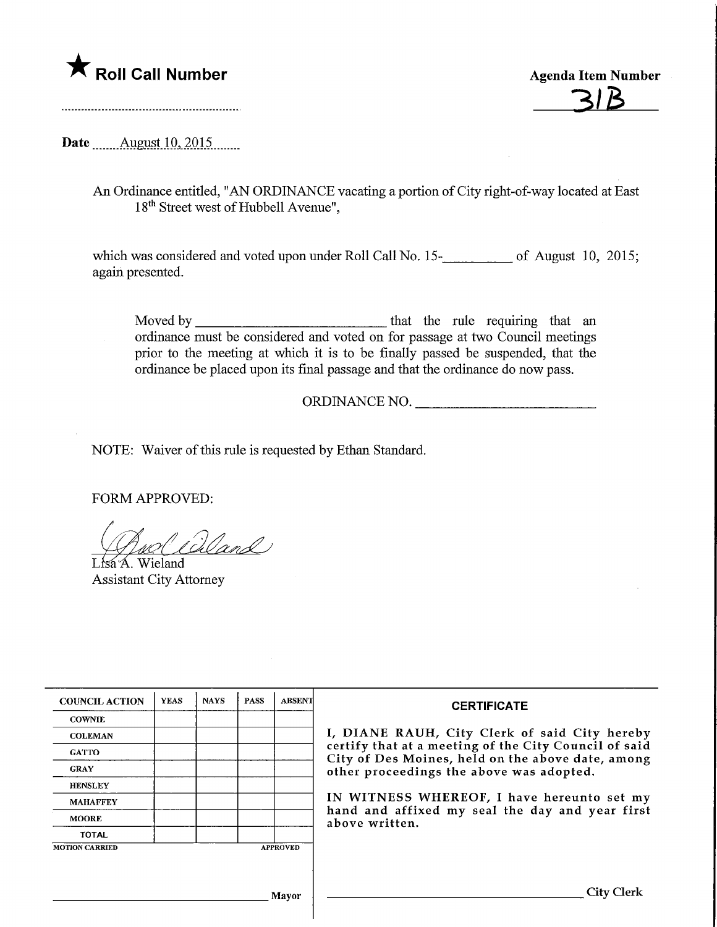

**Agenda Item Number** 

Date ........August. 10,.2015.

An Ordinance entitled, "AN ORDINANCE vacating a portion of City right-of-way located at East 18<sup>th</sup> Street west of Hubbell Avenue",

which was considered and voted upon under Roll Call No. 15-<br>15. of August 10, 2015; again presented.

Moved by that the rule requiring that an ordinance must be considered and voted on for passage at two Council meetings prior to the meeting at which it is to be finally passed be suspended, that the ordinance be placed upon its final passage and that the ordinance do now pass.

ORDINANCE NO.

NOTE: Waiver of this rule is requested by Ethan Standard.

FORM APPROVED:

't4€>i ^2^

Lisa<sup>'</sup>A. Wieland Assistant City Attorney

| <b>COUNCIL ACTION</b> | <b>YEAS</b> | <b>NAYS</b> | <b>PASS</b> | <b>ABSENT</b>   | <b>CERTIFICATE</b><br>I, DIANE RAUH, City Clerk of said City hereby<br>certify that at a meeting of the City Council of said<br>City of Des Moines, held on the above date, among<br>other proceedings the above was adopted. |  |  |
|-----------------------|-------------|-------------|-------------|-----------------|-------------------------------------------------------------------------------------------------------------------------------------------------------------------------------------------------------------------------------|--|--|
| <b>COWNIE</b>         |             |             |             |                 |                                                                                                                                                                                                                               |  |  |
| <b>COLEMAN</b>        |             |             |             |                 |                                                                                                                                                                                                                               |  |  |
| <b>GATTO</b>          |             |             |             |                 |                                                                                                                                                                                                                               |  |  |
| <b>GRAY</b>           |             |             |             |                 |                                                                                                                                                                                                                               |  |  |
| <b>HENSLEY</b>        |             |             |             |                 |                                                                                                                                                                                                                               |  |  |
| <b>MAHAFFEY</b>       |             |             |             |                 | IN WITNESS WHEREOF, I have hereunto set my<br>hand and affixed my seal the day and year first<br>above written.                                                                                                               |  |  |
| <b>MOORE</b>          |             |             |             |                 |                                                                                                                                                                                                                               |  |  |
| <b>TOTAL</b>          |             |             |             |                 |                                                                                                                                                                                                                               |  |  |
| <b>MOTION CARRIED</b> |             |             |             | <b>APPROVED</b> |                                                                                                                                                                                                                               |  |  |
|                       |             |             |             |                 |                                                                                                                                                                                                                               |  |  |
| Mayor                 |             |             |             |                 | City Clerk                                                                                                                                                                                                                    |  |  |